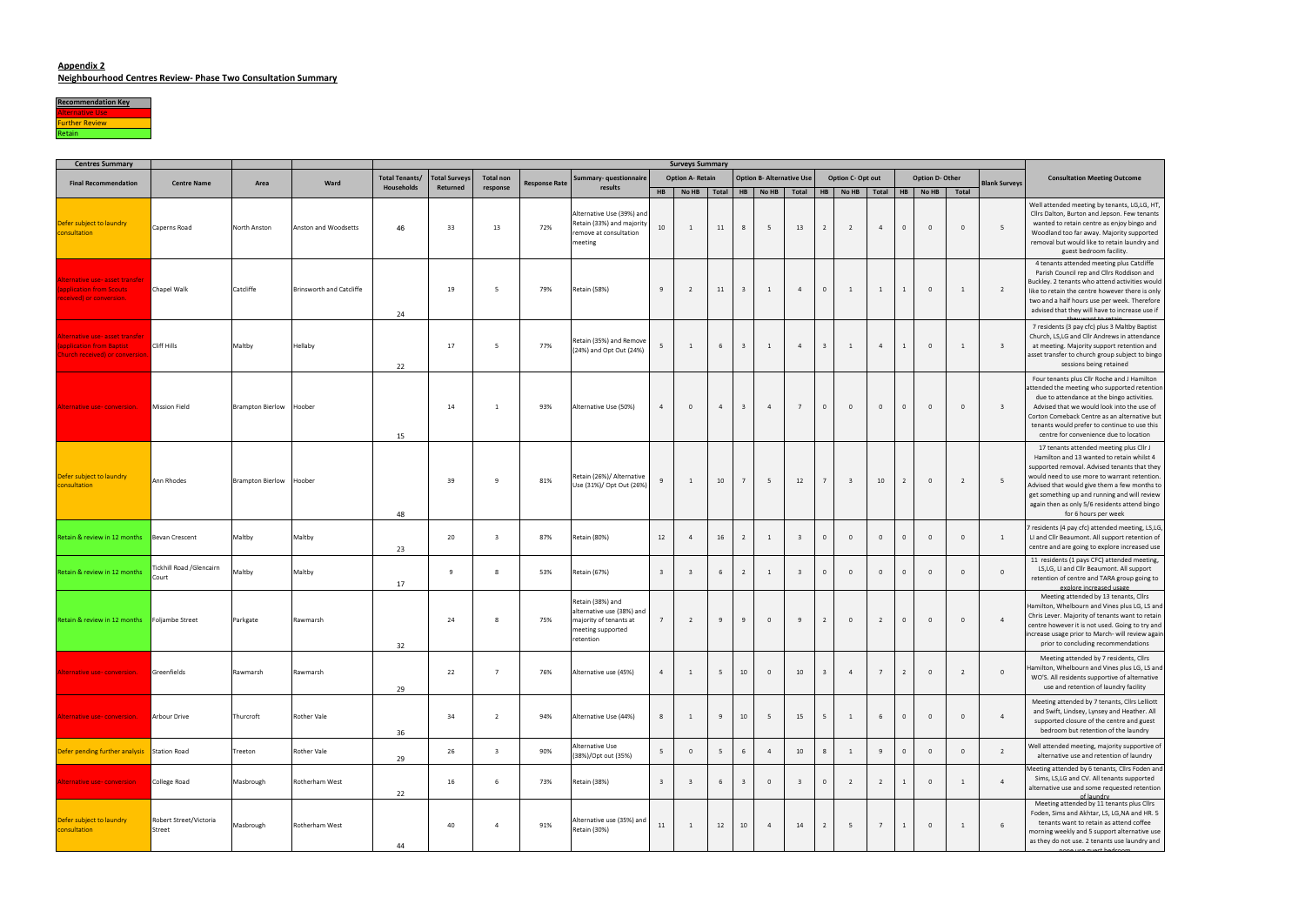## Appendix 2

Neighbourhood Centres Review- Phase Two Consultation Summary



| <b>Centres Summary</b>                                                                         |                                   |                         |                          | <b>Surveys Summary</b> |                      |                              |                      |                                                                                                           |                         |                         |                 |                |                                  |                         |                         |                         |                |                |             |                         |                         |                                                                                                                                                                                                                                                                                                                                                               |
|------------------------------------------------------------------------------------------------|-----------------------------------|-------------------------|--------------------------|------------------------|----------------------|------------------------------|----------------------|-----------------------------------------------------------------------------------------------------------|-------------------------|-------------------------|-----------------|----------------|----------------------------------|-------------------------|-------------------------|-------------------------|----------------|----------------|-------------|-------------------------|-------------------------|---------------------------------------------------------------------------------------------------------------------------------------------------------------------------------------------------------------------------------------------------------------------------------------------------------------------------------------------------------------|
| <b>Final Recommendation</b>                                                                    | <b>Centre Name</b>                | Area                    | Ward                     | <b>Total Tenants/</b>  | <b>Total Surveys</b> | <b>Total non</b><br>response | <b>Response Rate</b> | Summary- questionnaire<br>results                                                                         |                         | <b>Option A- Retain</b> |                 |                | <b>Option B- Alternative Use</b> |                         | Option C- Opt out       |                         |                |                |             | <b>Option D- Other</b>  | <b>Blank Surveys</b>    | <b>Consultation Meeting Outcome</b>                                                                                                                                                                                                                                                                                                                           |
|                                                                                                |                                   |                         |                          | Households             | Returned             |                              |                      |                                                                                                           | <b>HB</b>               | No HB   Total   HB      |                 |                | No HB                            | Total                   |                         | HB   No HB   Total      |                |                | HB No HB    |                         | Total                   |                                                                                                                                                                                                                                                                                                                                                               |
| Defer subject to laundry<br>consultation                                                       | Caperns Road                      | North Anston            | Anston and Woodsetts     | 46                     | 33                   | 13                           | 72%                  | Alternative Use (39%) and<br>Retain (33%) and majority<br>remove at consultation<br>meeting               | 10                      | 1                       | 11              | 8              | 5                                | 13                      | $\overline{2}$          | $\overline{2}$          | $\overline{4}$ | $\overline{0}$ | $\circ$     | $\Omega$                | - 5                     | Well attended meeting by tenants, LG,LG, HT,<br>Cllrs Dalton, Burton and Jepson. Few tenants<br>wanted to retain centre as enjoy bingo and<br>Woodland too far away. Majority supported<br>removal but would like to retain laundry and<br>guest bedroom facility.                                                                                            |
| <u> Alternative use- asset transfer</u><br>application from Scouts<br>received) or conversion. | Chapel Walk                       | Catcliffe               | Brinsworth and Catcliffe | 24                     | 19                   | - 5                          | 79%                  | <b>Retain (58%)</b>                                                                                       | 9                       | $\overline{2}$          | 11              | $\overline{3}$ | 1                                | $\overline{a}$          | $\circ$                 | $\overline{1}$          | 1              |                | $\circ$     | $\mathbf{1}$            | $\overline{2}$          | 4 tenants attended meeting plus Catcliffe<br>Parish Council rep and Cllrs Roddison and<br>Buckley. 2 tenants who attend activities would<br>like to retain the centre however there is only<br>two and a half hours use per week. Therefore<br>advised that they will have to increase use if                                                                 |
| Alternative use- asset transfer<br>application from Baptist<br>Church received) or conversion  | Cliff Hills                       | Maltby                  | Hellaby                  | 22                     | 17                   | -5                           | 77%                  | Retain (35%) and Remove<br>(24%) and Opt Out (24%)                                                        | 5                       | 1                       | 6               | $\overline{3}$ | 1                                | $\overline{4}$          | 3                       | 1                       | $\overline{4}$ |                | $\circ$     | $\mathbf{1}$            | $\overline{\mathbf{3}}$ | 7 residents (3 pay cfc) plus 3 Maltby Baptist<br>Church, LS, LG and Cllr Andrews in attendance<br>at meeting. Majority support retention and<br>asset transfer to church group subject to bingo<br>sessions being retained                                                                                                                                    |
| Alternative use-conversion.                                                                    | <b>Mission Field</b>              | <b>Brampton Bierlow</b> | Hoober                   | 15                     | 14                   |                              | 93%                  | Alternative Use (50%)                                                                                     | $\overline{4}$          | $\overline{0}$          | $\overline{4}$  | $\overline{3}$ | $\overline{4}$                   | $\overline{7}$          | $\circ$                 | $\Omega$                | $\circ$        | $\mathbf 0$    | $\circ$     | $\circ$                 |                         | Four tenants plus Cllr Roche and J Hamilton<br>attended the meeting who supported retention<br>due to attendance at the bingo activities.<br>Advised that we would look into the use of<br>Corton Comeback Centre as an alternative but<br>tenants would prefer to continue to use this<br>centre for convenience due to location                             |
| Defer subject to laundry<br>consultation                                                       | Ann Rhodes                        | <b>Brampton Bierlow</b> | Hoober                   | 48                     | 39                   | $\mathbf{q}$                 | 81%                  | Retain (26%)/ Alternative<br>Use (31%)/ Opt Out (26%)                                                     | 9                       | 1                       | 10              | $\overline{7}$ | 5                                | 12                      | $\overline{7}$          | $\overline{\mathbf{3}}$ | 10             | 2              | $\circ$     | $\overline{2}$          | - 5                     | 17 tenants attended meeting plus Cllr J<br>Hamilton and 13 wanted to retain whilst 4<br>supported removal. Advised tenants that they<br>would need to use more to warrant retention.<br>Advised that would give them a few months to<br>get something up and running and will review<br>again then as only 5/6 residents attend bingo<br>for 6 hours per week |
| Retain & review in 12 months                                                                   | Bevan Crescent                    | Maltby                  | Maltby                   | 23                     | 20                   | $\overline{3}$               | 87%                  | Retain (80%)                                                                                              | 12                      | $\overline{4}$          | 16              | $\overline{2}$ | 1                                | $\overline{\mathbf{3}}$ | $\circ$                 | $\Omega$                | $\overline{0}$ | 0              | $\circ$     | $\circ$                 | 1                       | residents (4 pay cfc) attended meeting, LS,LG,<br>LI and Cllr Beaumont. All support retention of<br>centre and are going to explore increased use                                                                                                                                                                                                             |
| Retain & review in 12 months                                                                   | Tickhill Road /Glencairn<br>Court | Maltby                  | Maltby                   | 17                     | 9                    |                              | 53%                  | Retain (67%)                                                                                              | $\overline{\mathbf{3}}$ | $\overline{\mathbf{3}}$ | 6               | $\overline{2}$ | 1                                | $\overline{\mathbf{3}}$ | $\Omega$                | $\Omega$                | $\circ$        | $\Omega$       | $\circ$     | $\Omega$                | $\Omega$                | 11 residents (1 pays CFC) attended meeting,<br>LS, LG, LI and Cllr Beaumont. All support<br>retention of centre and TARA group going to<br>explore increased usage                                                                                                                                                                                            |
| Retain & review in 12 months                                                                   | Foljambe Street                   | Parkgate                | Rawmarsh                 | 32                     | 24                   |                              | 75%                  | Retain (38%) and<br>alternative use (38%) and<br>majority of tenants at<br>meeting supported<br>retention | $7\overline{ }$         | $\overline{2}$          | 9               | 9              | $\circ$                          | 9                       | 2                       | $\Omega$                | $\overline{2}$ | $\circ$        | $\circ$     | $\circ$                 | $\overline{4}$          | Meeting attended by 13 tenants, Cllrs<br>Hamilton, Whelbourn and Vines plus LG, LS and<br>Chris Lever. Majority of tenants want to retain<br>centre however it is not used. Going to try and<br>ncrease usage prior to March- will review again<br>prior to concluding recommendations                                                                        |
| Alternative use- conversion.                                                                   | Greenfields                       | Rawmarsh                | Rawmarsh                 | 29                     | 22                   | $\overline{7}$               | 76%                  | Alternative use (45%)                                                                                     | $\overline{4}$          | $\mathbf{1}$            | 5               | 10             | $\circ$                          | 10                      | $\overline{\mathbf{3}}$ | $\overline{4}$          | $\overline{7}$ | $\overline{2}$ | $\circ$     | $\overline{2}$          | $\Omega$                | Meeting attended by 7 residents, Cllrs<br>Hamilton, Whelbourn and Vines plus LG, LS and<br>WO'S. All residents supportive of alternative<br>use and retention of laundry facility                                                                                                                                                                             |
| Alternative use-conversion.                                                                    | <b>Arbour Drive</b>               | Thurcroft               | Rother Vale              | 36                     | 34                   | $\overline{2}$               | 94%                  | Alternative Use (44%)                                                                                     | 8                       | 1                       | 9               | 10             | 5 <sup>5</sup>                   | 15                      | 5 <sup>5</sup>          | 1                       | 6              | $\circ$        | $\circ$     | $\circ$                 | $\overline{4}$          | Meeting attended by 7 tenants, Cllrs Lelliott<br>and Swift, Lindsey, Lynsey and Heather. All<br>supported closure of the centre and guest<br>bedroom but retention of the laundry                                                                                                                                                                             |
| Defer pending further analysis Station Road                                                    |                                   | Treeton                 | Rother Vale              | 29                     | 26                   | $\overline{\mathbf{3}}$      | 90%                  | Alternative Use<br>(38%)/Opt out (35%)                                                                    | 5 <sup>5</sup>          | $\circ$                 | $5\overline{)}$ | 6              | $\overline{4}$                   | 10                      | 8                       | 1                       | 9              | $\mathbf 0$    | $\circ$     | $\Omega$                | $\overline{2}$          | Well attended meeting, majority supportive of<br>alternative use and retention of laundry                                                                                                                                                                                                                                                                     |
| Alternative use- conversion                                                                    | College Road                      | Masbrough               | Rotherham West           | 22                     | 16                   | 6                            | 73%                  | Retain (38%)                                                                                              | $\overline{\mathbf{3}}$ | $\overline{\mathbf{3}}$ | 6               | $\overline{3}$ | $\overline{0}$                   | $\overline{3}$          | $\circ$                 | $\overline{2}$          | $\overline{2}$ |                |             | $\circ$<br>$\mathbf{1}$ | $\overline{4}$          | Meeting attended by 6 tenants, Cllrs Foden and<br>Sims, LS, LG and CV. All tenants supported<br>alternative use and some requested retention<br>of laundry                                                                                                                                                                                                    |
| Defer subject to laundry<br>consultation                                                       | Robert Street/Victoria<br>Street  | Masbrough               | Rotherham West           | 44                     | 40                   | $\overline{4}$               | 91%                  | Alternative use (35%) and<br>Retain (30%)                                                                 | 11                      | 1                       | 12              | 10             | $\overline{4}$                   | 14                      | $\overline{2}$          | 5                       | $\overline{7}$ |                | $\mathbf 0$ | $\mathbf{1}$            | -6                      | Meeting attended by 11 tenants plus Cllrs<br>Foden, Sims and Akhtar, LS, LG, NA and HR. 5<br>tenants want to retain as attend coffee<br>morning weekly and 5 support alternative use<br>as they do not use. 2 tenants use laundry and                                                                                                                         |